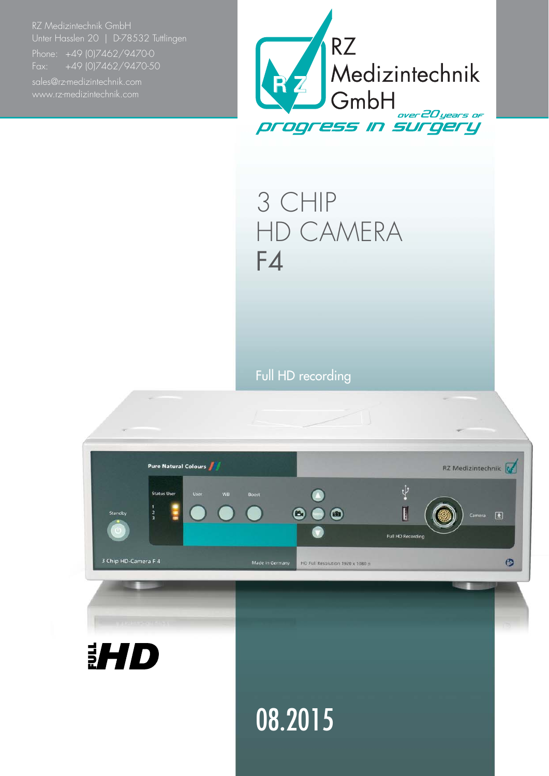RZ Medizintechnik GmbH Unter Hasslen 20 | D-78532 Tuttlingen

Fax: +49 (0)7462/9470-50



3 CHIP HD CAMERA F4

Full HD recording

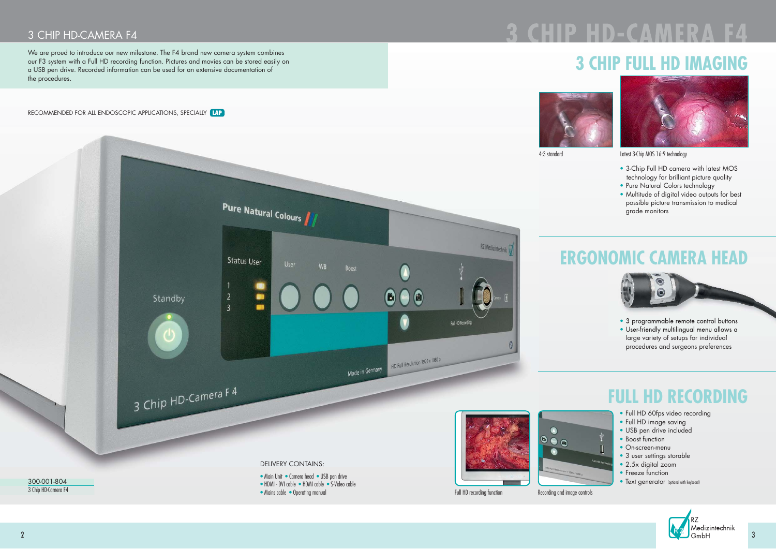

## 3 CHIP HD-CAMERA F4

We are proud to introduce our new milestone. The F4 brand new camera system combines our F3 system with a Full HD recording function. Pictures and movies can be stored easily on a USB pen drive. Recorded information can be used for an extensive documentation of the procedures.

- 3-Chip Full HD camera with latest MOS technology for brilliant picture quality
- Pure Natural Colors technology
- Multitude of digital video outputs for best possible picture transmission to medical grade monitors



• Mains cable • Operating manual



• 3 programmable remote control buttons • User-friendly multilingual menu allows a large variety of setups for individual procedures and surgeons preferences

4:3 standard Latest 3-Chip MOS 16:9 technology

Recording and image controls

 $\mathbf O$ 

# **2 CHIP HD-CAMER**

## **3 CHIP FULL HD IMAGING**





RECOMMENDED FOR ALL ENDOSCOPIC APPLICATIONS, SPECIALLY **LAP**

Full HD recording function

## **ERGONOMIC CAMERA HEAD**

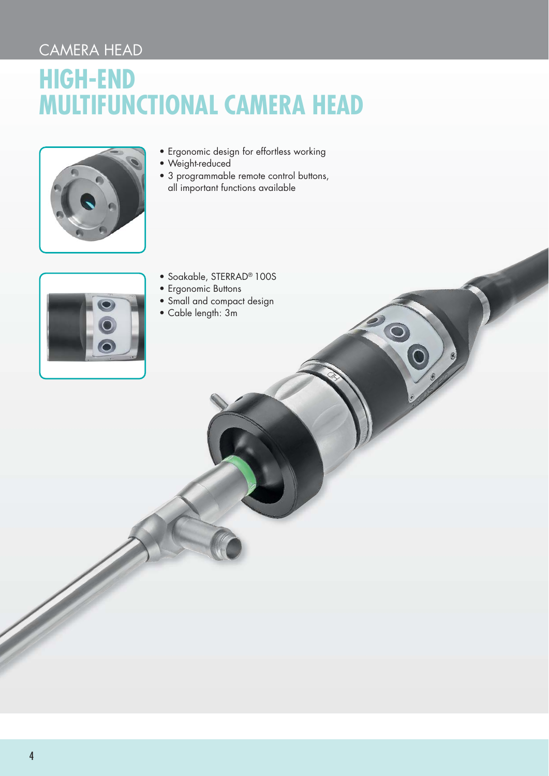## CAMERA HEAD

## **HIGH-END MULTIFUNCTIONAL CAMERA HEAD**



- Ergonomic design for effortless working
- Weight-reduced
- 3 programmable remote control buttons, all important functions available

 $\bullet$ 



- Soakable, STERRAD® 100S
- Ergonomic Buttons
- Small and compact design
- Cable length: 3m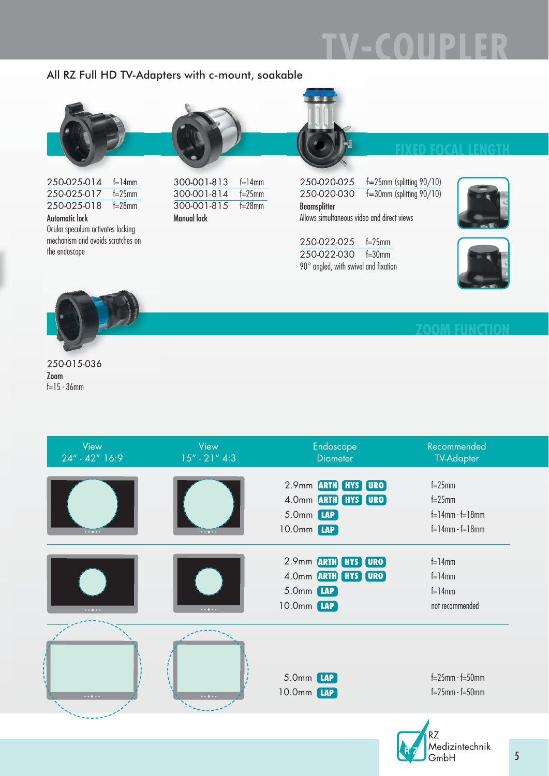# $\mathbf{D}$

### All RZ Full HD TV-Adapters with c-mount, soakable



| 250-025-014    | $f=14$ mm |
|----------------|-----------|
|                |           |
| 250-025-018    | $f=28$ mm |
| Automatic lock |           |

Ocular speculum activates locking mechanism and avoids scratches on the endoscope

| 300-001-813        | $f=14$ mm   |
|--------------------|-------------|
| 300-001-814        | $f = 25$ mm |
| 300-001-815        | $f=28$ mm   |
| <b>Manual lock</b> |             |



250-020-025 f=25mm (splitting 90/10)<br>250-020-030 f=30mm (splitting 90/10)  $f=30$ mm (splitting 90/10) Beamsplitter Allows simultaneous video and direct views

250-022-025 f=25mm 250-022-030 f=30mm 90° angled, with swivel and fixation







250-015-036 Zoom f=15 - 36mm

|          |          | 2.9mm ARTH HYS URO                                                     | $f=25$ mm                                                         |
|----------|----------|------------------------------------------------------------------------|-------------------------------------------------------------------|
|          | $\cdots$ | 4.0mm <b>ARTH HYS URO</b><br>5.0mm [AP]<br>10.0mm [AP]                 | $f=25$ mm<br>$f = 14$ mm $-f = 18$ mm<br>$f = 14$ mm $-f = 18$ mm |
| $\cdots$ | $\cdots$ | 2.9mm ARTH HYS URO<br>4.0mm ARTH HYS URO<br>5.0mm [LAP]<br>10.0mm [AP] | $f=14$ mm<br>$f=14$ mm<br>$f=14$ mm<br>not recommended            |
| $\cdots$ | $\cdots$ | 5.0mm <b>LAP</b><br>10.0mm [LAP]                                       | $f = 25$ mm $- f = 50$ mm<br>$f = 25$ mm $- f = 50$ mm            |

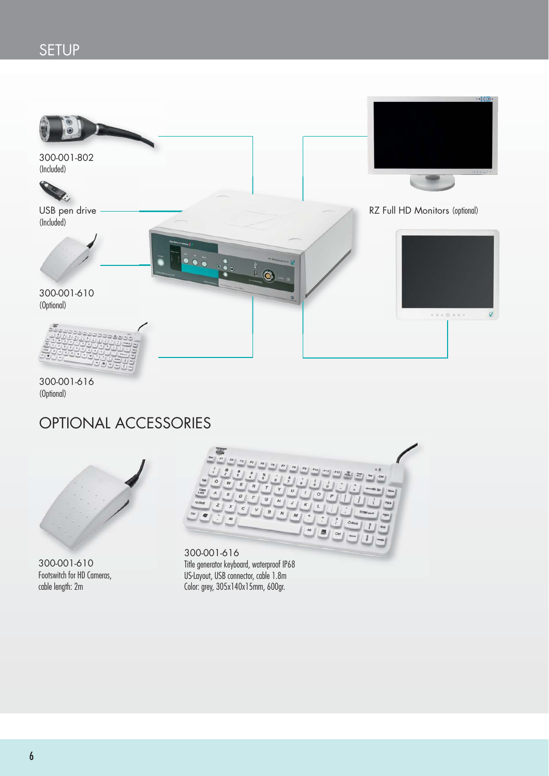## SETUP



300-001-616 (Optional)

## OPTIONAL ACCESSORIES



300-001-610 Footswitch for HD Cameras, cable length: 2m



300-001-616 Title generator keyboard, waterproof IP68 US-Layout, USB connector, cable 1.8m Color: grey, 305x140x15mm, 600gr.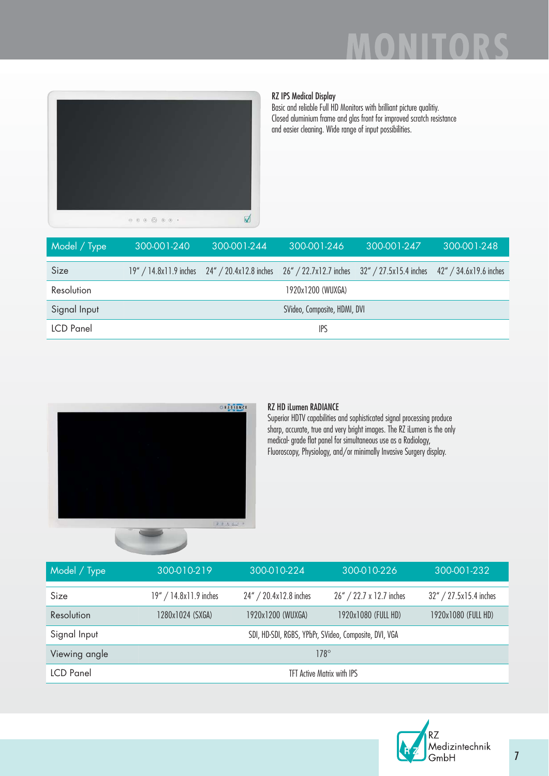

### RZ IPS Medical Display

Basic and reliable Full HD Monitors with brilliant picture qualitiy. Closed aluminium frame and glas front for improved scratch resistance and easier cleaning. Wide range of input possibilities.

| Model / Type     | 300-001-240                  | 300-001-244                                   | 300-001-246 | 300-001-247                                                          | 300-001-248 |
|------------------|------------------------------|-----------------------------------------------|-------------|----------------------------------------------------------------------|-------------|
| Size             |                              | 19" / 14.8x11.9 inches 24" / 20.4x12.8 inches |             | 26" / 22.7x12.7 inches 32" / 27.5x15.4 inches 42" / 34.6x19.6 inches |             |
| Resolution       | 1920x1200 (WUXGA)            |                                               |             |                                                                      |             |
| Signal Input     | SVideo, Composite, HDMI, DVI |                                               |             |                                                                      |             |
| <b>LCD</b> Panel | <b>IPS</b>                   |                                               |             |                                                                      |             |



### RZ HD iLumen RADIANCE

Superior HDTV capabilities and sophisticated signal processing produce sharp, accurate, true and very bright images. The RZ iLumen is the only medical- grade flat panel for simultaneous use as a Radiology, Fluoroscopy, Physiology, and/or minimally Invasive Surgery display.

| Model / Type     | 300-010-219                                           | 300-010-224            | 300-010-226              | 300-001-232            |
|------------------|-------------------------------------------------------|------------------------|--------------------------|------------------------|
| Size             | 19" / 14.8x11.9 inches                                | 24" / 20.4x12.8 inches | 26" / 22.7 x 12.7 inches | 32" / 27.5x15.4 inches |
| Resolution       | 1280x1024 (SXGA)                                      | 1920x1200 (WUXGA)      | 1920x1080 (FULL HD)      | 1920x1080 (FULL HD)    |
| Signal Input     | SDI, HD-SDI, RGBS, YPbPr, SVideo, Composite, DVI, VGA |                        |                          |                        |
| Viewing angle    | $178^\circ$                                           |                        |                          |                        |
| <b>LCD</b> Panel | <b>TFT Active Matrix with IPS</b>                     |                        |                          |                        |